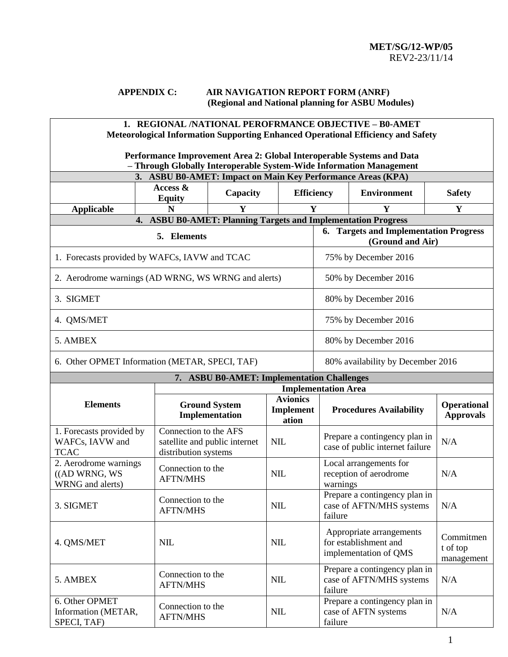### **APPENDIX C: AIR NAVIGATION REPORT FORM (ANRF) (Regional and National planning for ASBU Modules)**

|                                                             |                                               |                                            |                                       |          | 1. REGIONAL /NATIONAL PEROFRMANCE OBJECTIVE - B0-AMET<br><b>Meteorological Information Supporting Enhanced Operational Efficiency and Safety</b> |                                        |
|-------------------------------------------------------------|-----------------------------------------------|--------------------------------------------|---------------------------------------|----------|--------------------------------------------------------------------------------------------------------------------------------------------------|----------------------------------------|
|                                                             |                                               |                                            |                                       |          | Performance Improvement Area 2: Global Interoperable Systems and Data<br>- Through Globally Interoperable System-Wide Information Management     |                                        |
|                                                             |                                               |                                            |                                       |          | 3. ASBU B0-AMET: Impact on Main Key Performance Areas (KPA)                                                                                      |                                        |
|                                                             | Access &<br><b>Equity</b>                     | Capacity                                   | <b>Efficiency</b>                     |          | <b>Environment</b>                                                                                                                               | <b>Safety</b>                          |
| <b>Applicable</b>                                           | N                                             | Y                                          | Y                                     |          | Y                                                                                                                                                | Y                                      |
|                                                             |                                               |                                            |                                       |          | 4. ASBU B0-AMET: Planning Targets and Implementation Progress                                                                                    |                                        |
|                                                             | 5. Elements                                   |                                            |                                       |          | 6. Targets and Implementation Progress<br>(Ground and Air)                                                                                       |                                        |
| 1. Forecasts provided by WAFCs, IAVW and TCAC               |                                               |                                            |                                       |          | 75% by December 2016                                                                                                                             |                                        |
| 2. Aerodrome warnings (AD WRNG, WS WRNG and alerts)         |                                               |                                            |                                       |          | 50% by December 2016                                                                                                                             |                                        |
| 3. SIGMET                                                   |                                               |                                            |                                       |          | 80% by December 2016                                                                                                                             |                                        |
| 4. QMS/MET                                                  |                                               |                                            |                                       |          | 75% by December 2016                                                                                                                             |                                        |
| 5. AMBEX                                                    |                                               |                                            |                                       |          | 80% by December 2016                                                                                                                             |                                        |
| 6. Other OPMET Information (METAR, SPECI, TAF)              |                                               |                                            |                                       |          | 80% availability by December 2016                                                                                                                |                                        |
|                                                             |                                               | 7. ASBU B0-AMET: Implementation Challenges |                                       |          |                                                                                                                                                  |                                        |
|                                                             |                                               |                                            | <b>Implementation Area</b>            |          |                                                                                                                                                  |                                        |
| <b>Elements</b>                                             |                                               | <b>Ground System</b><br>Implementation     | <b>Avionics</b><br>Implement<br>ation |          | <b>Procedures Availability</b>                                                                                                                   | <b>Operational</b><br><b>Approvals</b> |
| 1. Forecasts provided by<br>WAFCs, IAVW and<br><b>TCAC</b>  | Connection to the AFS<br>distribution systems | satellite and public internet              | <b>NIL</b>                            |          | Prepare a contingency plan in<br>case of public internet failure                                                                                 | N/A                                    |
| 2. Aerodrome warnings<br>((AD WRNG, WS)<br>WRNG and alerts) | Connection to the<br><b>AFTN/MHS</b>          |                                            | <b>NIL</b>                            | warnings | Local arrangements for<br>reception of aerodrome                                                                                                 | N/A                                    |
| 3. SIGMET                                                   | Connection to the<br><b>AFTN/MHS</b>          |                                            | <b>NIL</b>                            | failure  | Prepare a contingency plan in<br>case of AFTN/MHS systems                                                                                        | N/A                                    |
| 4. QMS/MET                                                  | <b>NIL</b>                                    |                                            | <b>NIL</b>                            |          | Appropriate arrangements<br>for establishment and<br>implementation of QMS                                                                       | Commitmen<br>t of top<br>management    |
| 5. AMBEX                                                    | Connection to the<br><b>AFTN/MHS</b>          |                                            | <b>NIL</b>                            | failure  | Prepare a contingency plan in<br>case of AFTN/MHS systems                                                                                        | N/A                                    |
| 6. Other OPMET<br>Information (METAR,<br>SPECI, TAF)        | Connection to the<br><b>AFTN/MHS</b>          |                                            | <b>NIL</b>                            | failure  | Prepare a contingency plan in<br>case of AFTN systems                                                                                            | N/A                                    |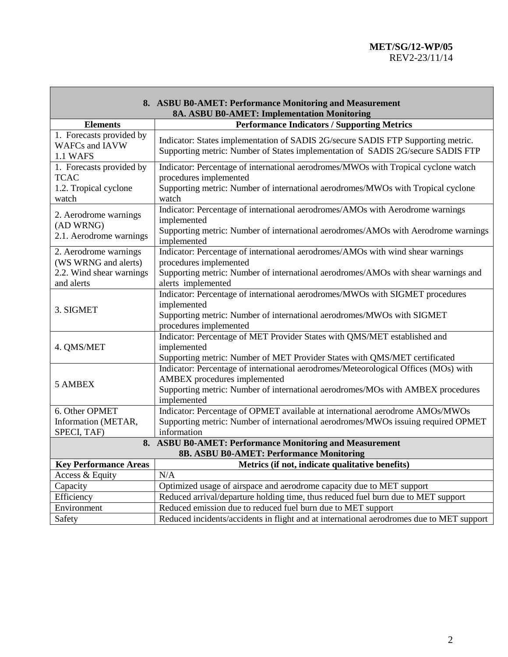|                                                                                         | 8. ASBU B0-AMET: Performance Monitoring and Measurement<br><b>8A. ASBU B0-AMET: Implementation Monitoring</b>                                                                                                         |
|-----------------------------------------------------------------------------------------|-----------------------------------------------------------------------------------------------------------------------------------------------------------------------------------------------------------------------|
| <b>Elements</b>                                                                         | <b>Performance Indicators / Supporting Metrics</b>                                                                                                                                                                    |
| 1. Forecasts provided by<br><b>WAFCs and IAVW</b><br><b>1.1 WAFS</b>                    | Indicator: States implementation of SADIS 2G/secure SADIS FTP Supporting metric.<br>Supporting metric: Number of States implementation of SADIS 2G/secure SADIS FTP                                                   |
| 1. Forecasts provided by<br><b>TCAC</b><br>1.2. Tropical cyclone<br>watch               | Indicator: Percentage of international aerodromes/MWOs with Tropical cyclone watch<br>procedures implemented<br>Supporting metric: Number of international aerodromes/MWOs with Tropical cyclone<br>watch             |
| 2. Aerodrome warnings<br>(AD WRNG)<br>2.1. Aerodrome warnings                           | Indicator: Percentage of international aerodromes/AMOs with Aerodrome warnings<br>implemented<br>Supporting metric: Number of international aerodromes/AMOs with Aerodrome warnings<br>implemented                    |
| 2. Aerodrome warnings<br>(WS WRNG and alerts)<br>2.2. Wind shear warnings<br>and alerts | Indicator: Percentage of international aerodromes/AMOs with wind shear warnings<br>procedures implemented<br>Supporting metric: Number of international aerodromes/AMOs with shear warnings and<br>alerts implemented |
| 3. SIGMET                                                                               | Indicator: Percentage of international aerodromes/MWOs with SIGMET procedures<br>implemented<br>Supporting metric: Number of international aerodromes/MWOs with SIGMET<br>procedures implemented                      |
| 4. QMS/MET                                                                              | Indicator: Percentage of MET Provider States with QMS/MET established and<br>implemented<br>Supporting metric: Number of MET Provider States with QMS/MET certificated                                                |
| 5 AMBEX                                                                                 | Indicator: Percentage of international aerodromes/Meteorological Offices (MOs) with<br>AMBEX procedures implemented<br>Supporting metric: Number of international aerodromes/MOs with AMBEX procedures<br>implemented |
| 6. Other OPMET<br>Information (METAR,<br>SPECI, TAF)                                    | Indicator: Percentage of OPMET available at international aerodrome AMOs/MWOs<br>Supporting metric: Number of international aerodromes/MWOs issuing required OPMET<br>information                                     |
|                                                                                         | 8. ASBU B0-AMET: Performance Monitoring and Measurement<br>8B. ASBU B0-AMET: Performance Monitoring                                                                                                                   |
| <b>Key Performance Areas</b>                                                            | Metrics (if not, indicate qualitative benefits)                                                                                                                                                                       |
| Access & Equity                                                                         | N/A                                                                                                                                                                                                                   |
| Capacity                                                                                | Optimized usage of airspace and aerodrome capacity due to MET support                                                                                                                                                 |
| Efficiency                                                                              | Reduced arrival/departure holding time, thus reduced fuel burn due to MET support                                                                                                                                     |
| Environment                                                                             | Reduced emission due to reduced fuel burn due to MET support                                                                                                                                                          |
| Safety                                                                                  | Reduced incidents/accidents in flight and at international aerodromes due to MET support                                                                                                                              |

Г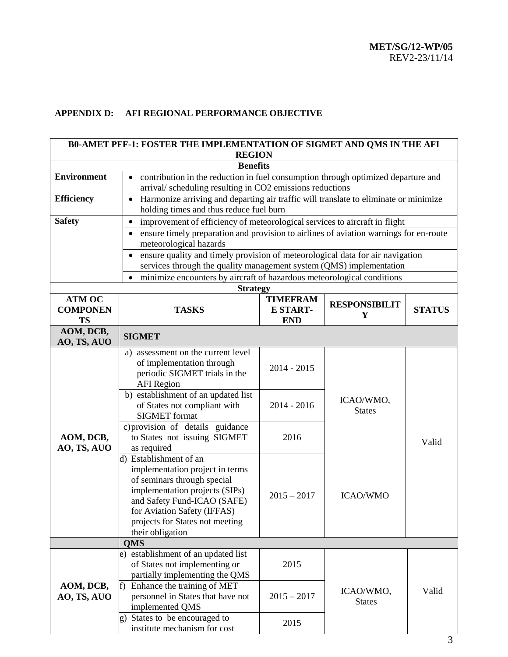# **APPENDIX D: AFI REGIONAL PERFORMANCE OBJECTIVE**

|                                  | <b>BO-AMET PFF-1: FOSTER THE IMPLEMENTATION OF SIGMET AND QMS IN THE AFI</b>                                                                                                                                                                                  |                                |                            |               |
|----------------------------------|---------------------------------------------------------------------------------------------------------------------------------------------------------------------------------------------------------------------------------------------------------------|--------------------------------|----------------------------|---------------|
|                                  | <b>REGION</b>                                                                                                                                                                                                                                                 |                                |                            |               |
|                                  | <b>Benefits</b>                                                                                                                                                                                                                                               |                                |                            |               |
| <b>Environment</b>               | contribution in the reduction in fuel consumption through optimized departure and<br>$\bullet$                                                                                                                                                                |                                |                            |               |
|                                  | arrival/scheduling resulting in CO2 emissions reductions                                                                                                                                                                                                      |                                |                            |               |
| <b>Efficiency</b>                | Harmonize arriving and departing air traffic will translate to eliminate or minimize<br>$\bullet$                                                                                                                                                             |                                |                            |               |
|                                  | holding times and thus reduce fuel burn                                                                                                                                                                                                                       |                                |                            |               |
| <b>Safety</b>                    | improvement of efficiency of meteorological services to aircraft in flight<br>$\bullet$                                                                                                                                                                       |                                |                            |               |
|                                  | ensure timely preparation and provision to airlines of aviation warnings for en-route<br>$\bullet$                                                                                                                                                            |                                |                            |               |
|                                  | meteorological hazards                                                                                                                                                                                                                                        |                                |                            |               |
|                                  | ensure quality and timely provision of meteorological data for air navigation<br>$\bullet$                                                                                                                                                                    |                                |                            |               |
|                                  | services through the quality management system (QMS) implementation                                                                                                                                                                                           |                                |                            |               |
|                                  | minimize encounters by aircraft of hazardous meteorological conditions                                                                                                                                                                                        |                                |                            |               |
|                                  | <b>Strategy</b>                                                                                                                                                                                                                                               | <b>TIMEFRAM</b>                |                            |               |
| <b>ATM OC</b><br><b>COMPONEN</b> | <b>TASKS</b>                                                                                                                                                                                                                                                  | <b>E START-</b>                | <b>RESPONSIBILIT</b>       | <b>STATUS</b> |
| <b>TS</b>                        |                                                                                                                                                                                                                                                               | <b>END</b>                     | Y                          |               |
| AOM, DCB,                        |                                                                                                                                                                                                                                                               |                                |                            |               |
| AO, TS, AUO                      | <b>SIGMET</b>                                                                                                                                                                                                                                                 |                                |                            |               |
|                                  | a) assessment on the current level<br>of implementation through<br>periodic SIGMET trials in the<br><b>AFI</b> Region<br>b) establishment of an updated list<br>of States not compliant with                                                                  | $2014 - 2015$<br>$2014 - 2016$ | ICAO/WMO,                  |               |
| AOM, DCB,<br>AO, TS, AUO         | <b>SIGMET</b> format<br>c) provision of details guidance<br>to States not issuing SIGMET<br>as required                                                                                                                                                       | 2016                           | <b>States</b>              | Valid         |
|                                  | d) Establishment of an<br>implementation project in terms<br>of seminars through special<br>implementation projects (SIPs)<br>and Safety Fund-ICAO (SAFE)<br>for Aviation Safety (IFFAS)<br>projects for States not meeting<br>their obligation<br><b>QMS</b> | $2015 - 2017$                  | <b>ICAO/WMO</b>            |               |
|                                  | e) establishment of an updated list                                                                                                                                                                                                                           |                                |                            |               |
|                                  | of States not implementing or<br>partially implementing the QMS                                                                                                                                                                                               | 2015                           |                            |               |
| AOM, DCB,<br>AO, TS, AUO         | Enhance the training of MET<br>f)<br>personnel in States that have not<br>implemented QMS                                                                                                                                                                     | $2015 - 2017$                  | ICAO/WMO,<br><b>States</b> | Valid         |
|                                  | States to be encouraged to<br>institute mechanism for cost                                                                                                                                                                                                    | 2015                           |                            |               |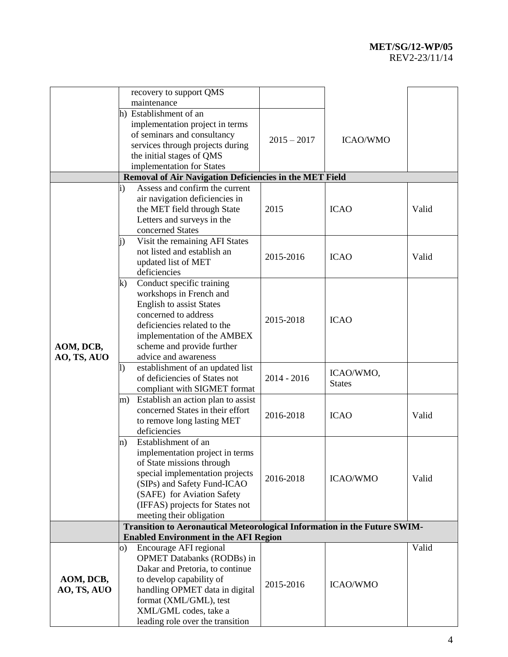|             |                  | recovery to support QMS                                                   |               |                 |       |
|-------------|------------------|---------------------------------------------------------------------------|---------------|-----------------|-------|
|             |                  | maintenance                                                               |               |                 |       |
|             |                  | h) Establishment of an                                                    |               |                 |       |
|             |                  | implementation project in terms                                           |               |                 |       |
|             |                  | of seminars and consultancy                                               | $2015 - 2017$ | <b>ICAO/WMO</b> |       |
|             |                  | services through projects during                                          |               |                 |       |
|             |                  | the initial stages of QMS                                                 |               |                 |       |
|             |                  | implementation for States                                                 |               |                 |       |
|             |                  | Removal of Air Navigation Deficiencies in the MET Field                   |               |                 |       |
|             | $\bf i)$         | Assess and confirm the current                                            |               |                 |       |
|             |                  | air navigation deficiencies in                                            |               |                 |       |
|             |                  | the MET field through State                                               | 2015          | <b>ICAO</b>     | Valid |
|             |                  | Letters and surveys in the                                                |               |                 |       |
|             |                  | concerned States                                                          |               |                 |       |
|             | li)              | Visit the remaining AFI States                                            |               |                 |       |
|             |                  | not listed and establish an                                               | 2015-2016     | <b>ICAO</b>     | Valid |
|             |                  | updated list of MET                                                       |               |                 |       |
|             |                  | deficiencies                                                              |               |                 |       |
|             | $\bf k)$         | Conduct specific training                                                 |               |                 |       |
|             |                  | workshops in French and                                                   |               |                 |       |
|             |                  | <b>English to assist States</b>                                           |               |                 |       |
|             |                  | concerned to address                                                      | 2015-2018     | <b>ICAO</b>     |       |
|             |                  | deficiencies related to the                                               |               |                 |       |
|             |                  | implementation of the AMBEX                                               |               |                 |       |
| AOM, DCB,   |                  | scheme and provide further                                                |               |                 |       |
| AO, TS, AUO |                  | advice and awareness                                                      |               |                 |       |
|             | $\left  \right)$ | establishment of an updated list                                          |               | ICAO/WMO,       |       |
|             |                  | of deficiencies of States not                                             | $2014 - 2016$ | <b>States</b>   |       |
|             |                  | compliant with SIGMET format                                              |               |                 |       |
|             | m)               | Establish an action plan to assist                                        |               |                 |       |
|             |                  | concerned States in their effort                                          | 2016-2018     | <b>ICAO</b>     | Valid |
|             |                  | to remove long lasting MET                                                |               |                 |       |
|             |                  | deficiencies                                                              |               |                 |       |
|             | $\mathbf{n}$     | Establishment of an                                                       |               |                 |       |
|             |                  | implementation project in terms                                           |               |                 |       |
|             |                  | of State missions through                                                 |               |                 |       |
|             |                  | special implementation projects                                           | 2016-2018     | <b>ICAO/WMO</b> | Valid |
|             |                  | (SIPs) and Safety Fund-ICAO                                               |               |                 |       |
|             |                  | (SAFE) for Aviation Safety                                                |               |                 |       |
|             |                  | (IFFAS) projects for States not                                           |               |                 |       |
|             |                  | meeting their obligation                                                  |               |                 |       |
|             |                  | Transition to Aeronautical Meteorological Information in the Future SWIM- |               |                 |       |
|             |                  | <b>Enabled Environment in the AFI Region</b>                              |               |                 |       |
|             | O)               | Encourage AFI regional                                                    |               |                 | Valid |
|             |                  | <b>OPMET Databanks (RODBs) in</b>                                         |               |                 |       |
|             |                  | Dakar and Pretoria, to continue                                           |               |                 |       |
| AOM, DCB,   |                  | to develop capability of                                                  | 2015-2016     | <b>ICAO/WMO</b> |       |
| AO, TS, AUO |                  | handling OPMET data in digital                                            |               |                 |       |
|             |                  | format (XML/GML), test                                                    |               |                 |       |
|             |                  | XML/GML codes, take a                                                     |               |                 |       |
|             |                  | leading role over the transition                                          |               |                 |       |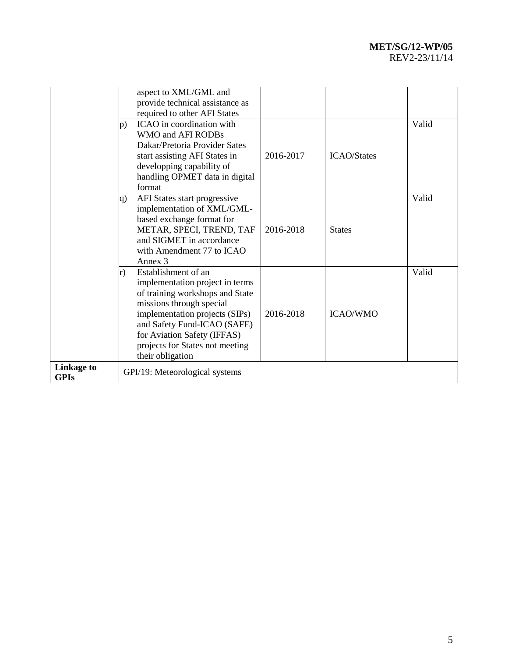# **MET/SG/12-WP/05** REV2-23/11/14

| <b>Linkage to</b><br><b>GPIs</b> | GPI/19: Meteorological systems                                                                                                                                                                                                                                                               |           |                    |       |
|----------------------------------|----------------------------------------------------------------------------------------------------------------------------------------------------------------------------------------------------------------------------------------------------------------------------------------------|-----------|--------------------|-------|
|                                  | Establishment of an<br>r)<br>implementation project in terms<br>of training workshops and State<br>missions through special<br>implementation projects (SIPs)<br>and Safety Fund-ICAO (SAFE)<br>for Aviation Safety (IFFAS)<br>projects for States not meeting<br>their obligation           | 2016-2018 | <b>ICAO/WMO</b>    | Valid |
|                                  | AFI States start progressive<br>q)<br>implementation of XML/GML-<br>based exchange format for<br>METAR, SPECI, TREND, TAF<br>and SIGMET in accordance<br>with Amendment 77 to ICAO<br>Annex <sub>3</sub>                                                                                     | 2016-2018 | <b>States</b>      | Valid |
|                                  | aspect to XML/GML and<br>provide technical assistance as<br>required to other AFI States<br>ICAO in coordination with<br> p)<br>WMO and AFI RODBs<br>Dakar/Pretoria Provider Sates<br>start assisting AFI States in<br>developping capability of<br>handling OPMET data in digital<br>format | 2016-2017 | <b>ICAO/States</b> | Valid |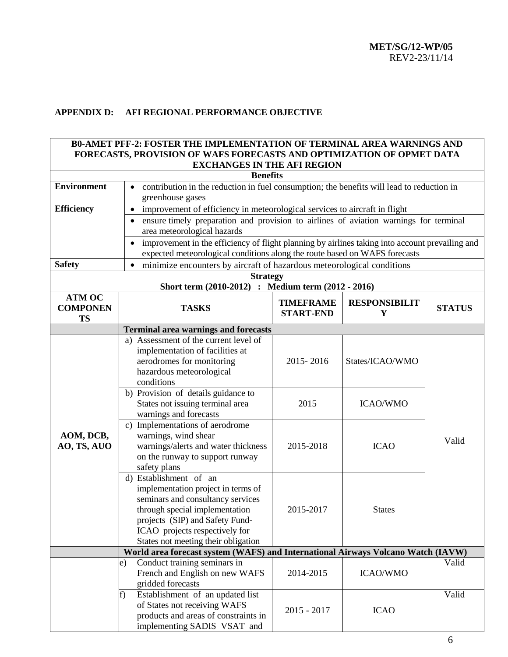### **APPENDIX D: AFI REGIONAL PERFORMANCE OBJECTIVE**

#### **B0-AMET PFF-2: FOSTER THE IMPLEMENTATION OF TERMINAL AREA WARNINGS AND FORECASTS, PROVISION OF WAFS FORECASTS AND OPTIMIZATION OF OPMET DATA EXCHANGES IN THE AFI REGION**

|                                               | <b>Benefits</b>                                                                                                                                                                                                                                 |                                      |                           |               |
|-----------------------------------------------|-------------------------------------------------------------------------------------------------------------------------------------------------------------------------------------------------------------------------------------------------|--------------------------------------|---------------------------|---------------|
| <b>Environment</b>                            | contribution in the reduction in fuel consumption; the benefits will lead to reduction in<br>greenhouse gases                                                                                                                                   |                                      |                           |               |
| <b>Efficiency</b>                             | improvement of efficiency in meteorological services to aircraft in flight<br>$\bullet$                                                                                                                                                         |                                      |                           |               |
|                                               | ensure timely preparation and provision to airlines of aviation warnings for terminal<br>area meteorological hazards                                                                                                                            |                                      |                           |               |
|                                               | improvement in the efficiency of flight planning by airlines taking into account prevailing and<br>expected meteorological conditions along the route based on WAFS forecasts                                                                   |                                      |                           |               |
| <b>Safety</b>                                 | minimize encounters by aircraft of hazardous meteorological conditions<br>$\bullet$                                                                                                                                                             |                                      |                           |               |
|                                               | <b>Strategy</b>                                                                                                                                                                                                                                 |                                      |                           |               |
|                                               | Short term (2010-2012) : Medium term (2012 - 2016)                                                                                                                                                                                              |                                      |                           |               |
| <b>ATM OC</b><br><b>COMPONEN</b><br><b>TS</b> | <b>TASKS</b>                                                                                                                                                                                                                                    | <b>TIMEFRAME</b><br><b>START-END</b> | <b>RESPONSIBILIT</b><br>Y | <b>STATUS</b> |
|                                               | <b>Terminal area warnings and forecasts</b>                                                                                                                                                                                                     |                                      |                           |               |
|                                               | a) Assessment of the current level of<br>implementation of facilities at<br>aerodromes for monitoring<br>hazardous meteorological<br>conditions                                                                                                 | 2015-2016                            | States/ICAO/WMO           |               |
|                                               | b) Provision of details guidance to<br>States not issuing terminal area<br>warnings and forecasts                                                                                                                                               | 2015                                 | <b>ICAO/WMO</b>           |               |
| AOM, DCB,<br>AO, TS, AUO                      | c) Implementations of aerodrome<br>warnings, wind shear<br>warnings/alerts and water thickness<br>on the runway to support runway<br>safety plans                                                                                               | 2015-2018                            | <b>ICAO</b>               | Valid         |
|                                               | d) Establishment of an<br>implementation project in terms of<br>seminars and consultancy services<br>through special implementation<br>projects (SIP) and Safety Fund-<br>ICAO projects respectively for<br>States not meeting their obligation | 2015-2017                            | <b>States</b>             |               |
|                                               | World area forecast system (WAFS) and International Airways Volcano Watch (IAVW)                                                                                                                                                                |                                      |                           |               |
|                                               | Conduct training seminars in<br>e)<br>French and English on new WAFS<br>gridded forecasts                                                                                                                                                       | 2014-2015                            | <b>ICAO/WMO</b>           | Valid         |
|                                               | Establishment of an updated list<br>f)<br>of States not receiving WAFS<br>products and areas of constraints in<br>implementing SADIS VSAT and                                                                                                   | $2015 - 2017$                        | <b>ICAO</b>               | Valid         |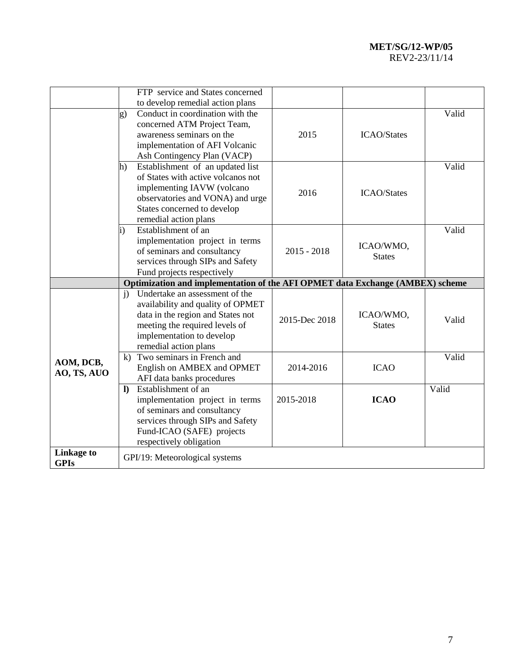## **MET/SG/12-WP/05** REV2-23/11/14

|                                  | FTP service and States concerned                                                                                                                                                                                 |               |                            |       |
|----------------------------------|------------------------------------------------------------------------------------------------------------------------------------------------------------------------------------------------------------------|---------------|----------------------------|-------|
|                                  | to develop remedial action plans<br>Conduct in coordination with the<br>$\mathbf{g}$ )                                                                                                                           |               |                            | Valid |
|                                  | concerned ATM Project Team,<br>awareness seminars on the<br>implementation of AFI Volcanic<br>Ash Contingency Plan (VACP)                                                                                        | 2015          | <b>ICAO/States</b>         |       |
|                                  | Establishment of an updated list<br>$\mathbf{h}$<br>of States with active volcanos not<br>implementing IAVW (volcano<br>observatories and VONA) and urge<br>States concerned to develop<br>remedial action plans | 2016          | <b>ICAO/States</b>         | Valid |
|                                  | Establishment of an<br>i)<br>implementation project in terms<br>of seminars and consultancy<br>services through SIPs and Safety<br>Fund projects respectively                                                    | $2015 - 2018$ | ICAO/WMO,<br><b>States</b> | Valid |
|                                  | Optimization and implementation of the AFI OPMET data Exchange (AMBEX) scheme                                                                                                                                    |               |                            |       |
|                                  | Undertake an assessment of the<br>$\ddot{1}$<br>availability and quality of OPMET<br>data in the region and States not<br>meeting the required levels of<br>implementation to develop<br>remedial action plans   | 2015-Dec 2018 | ICAO/WMO,<br><b>States</b> | Valid |
| AOM, DCB,<br>AO, TS, AUO         | Two seminars in French and<br>$\bf k$<br>English on AMBEX and OPMET<br>AFI data banks procedures                                                                                                                 | 2014-2016     | <b>ICAO</b>                | Valid |
|                                  | Establishment of an<br>$\bf{D}$<br>implementation project in terms<br>of seminars and consultancy<br>services through SIPs and Safety<br>Fund-ICAO (SAFE) projects<br>respectively obligation                    | 2015-2018     | <b>ICAO</b>                | Valid |
| <b>Linkage to</b><br><b>GPIs</b> | GPI/19: Meteorological systems                                                                                                                                                                                   |               |                            |       |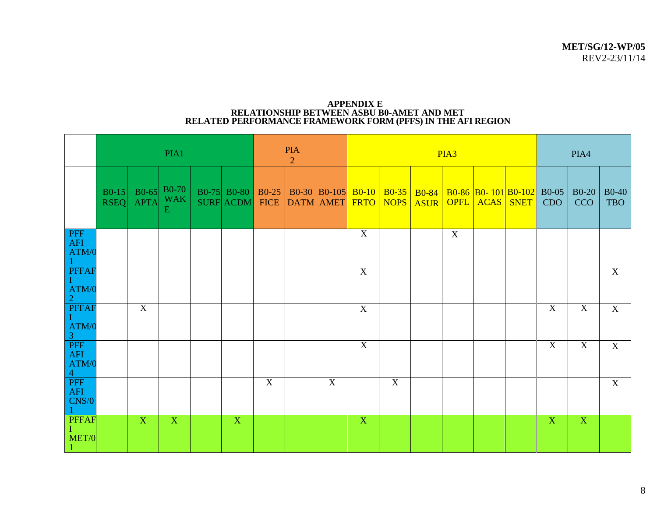#### **APPENDIX E RELATIONSHIP BETWEEN ASBU B0-AMET AND MET RELATED PERFORMANCE FRAMEWORK FORM (PFFS) IN THE AFI REGION**

|                                                                                                                                                 |                        |                | PIA1                                   |                  |                | <b>PIA</b><br>$\overline{2}$ |                                                                                               |                |                |                          | PIA3         |             |                | PIA4                |                            |
|-------------------------------------------------------------------------------------------------------------------------------------------------|------------------------|----------------|----------------------------------------|------------------|----------------|------------------------------|-----------------------------------------------------------------------------------------------|----------------|----------------|--------------------------|--------------|-------------|----------------|---------------------|----------------------------|
|                                                                                                                                                 | $B0-15$<br><b>RSEQ</b> | <b>APTA</b>    | B0-65 B0-70<br><b>WAK</b><br>${\bf E}$ | <b>SURF ACDM</b> |                |                              | B0-75 B0-80 B0-25 B0-30 B0-105 B0-10 B0-35 B0-84 B0-86 B0- 101 B0-102 B0-05<br>FICE DATM AMET |                |                | FRTO NOPS ASUR OPFL ACAS |              | <b>SNET</b> | <b>CDO</b>     | <b>B0-20</b><br>CCO | <b>B0-40</b><br><b>TBO</b> |
| $\begin{array}{l} {\small \bf PFF} \\ {\small \bf AFI} \\ {\small \bf ATM/0} \\ {\small \bf 1} \end{array}$                                     |                        |                |                                        |                  |                |                              |                                                                                               | $\mathbf{X}$   |                |                          | $\mathbf{X}$ |             |                |                     |                            |
| PFFAF<br>I<br>ATM/0<br>2<br>PFFAF<br>I                                                                                                          |                        |                |                                        |                  |                |                              |                                                                                               | X              |                |                          |              |             |                |                     | $\mathbf X$                |
|                                                                                                                                                 |                        | $\overline{X}$ |                                        |                  |                |                              |                                                                                               | $\overline{X}$ |                |                          |              |             | $\overline{X}$ | $\overline{X}$      | $\overline{X}$             |
| $\begin{array}{l} \text{ATM/0} \\ \text{3} \\ \text{PFF} \\ \text{AFI} \\ \text{ATM/0} \\ \text{PFF} \\ \text{AFI} \\ \text{CNS/0} \end{array}$ |                        |                |                                        |                  |                |                              |                                                                                               | $\overline{X}$ |                |                          |              |             | $\overline{X}$ | $\overline{X}$      | $\mathbf X$                |
| $\frac{\text{CNS}}{1}$                                                                                                                          |                        |                |                                        |                  | $\overline{X}$ |                              | $\overline{X}$                                                                                |                | $\overline{X}$ |                          |              |             |                |                     | $\mathbf X$                |
| PFFAF<br>MET/0<br>$\blacksquare$                                                                                                                |                        | $\mathbf{X}$   | $\mathbf{X}$                           | $\mathbf{X}$     |                |                              |                                                                                               | $\mathbf{X}$   |                |                          |              |             | X              | $\mathbf{X}$        |                            |